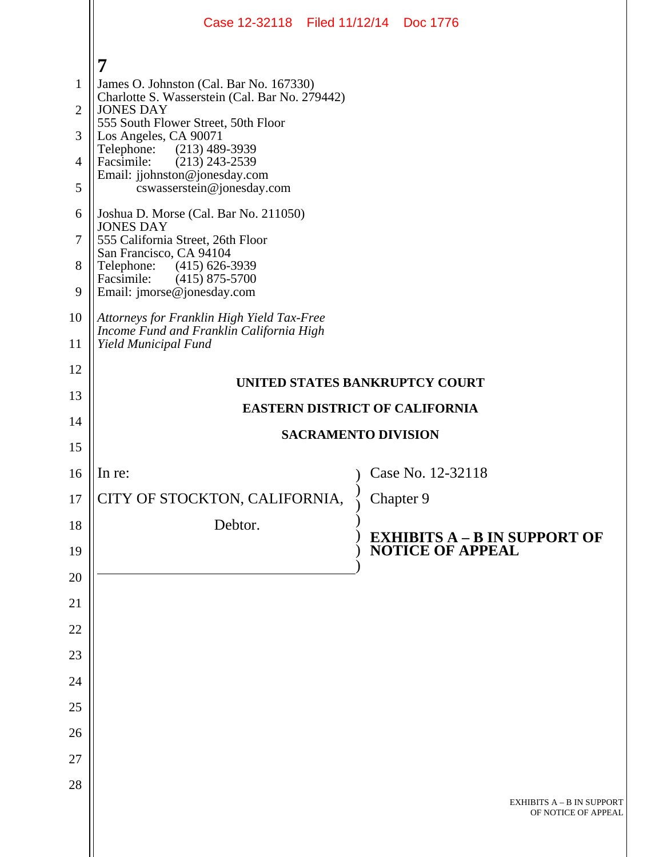|                | Case 12-32118 Filed 11/12/14 Doc 1776                                                  |  |                                                         |  |
|----------------|----------------------------------------------------------------------------------------|--|---------------------------------------------------------|--|
|                | 7                                                                                      |  |                                                         |  |
| $\mathbf{1}$   | James O. Johnston (Cal. Bar No. 167330)                                                |  |                                                         |  |
| $\overline{2}$ | Charlotte S. Wasserstein (Cal. Bar No. 279442)<br><b>JONES DAY</b>                     |  |                                                         |  |
| 3              | 555 South Flower Street, 50th Floor<br>Los Angeles, CA 90071                           |  |                                                         |  |
| $\overline{4}$ | $(213)$ 489-3939<br>Telephone:<br>Facsimile:<br>$(213)$ 243-2539                       |  |                                                         |  |
| 5              | Email: jjohnston@jonesday.com<br>cswasserstein@jonesday.com                            |  |                                                         |  |
| 6              | Joshua D. Morse (Cal. Bar No. 211050)                                                  |  |                                                         |  |
| 7              | <b>JONES DAY</b><br>555 California Street, 26th Floor                                  |  |                                                         |  |
| 8              | San Francisco, CA 94104<br>Telephone: (415) 626-3939                                   |  |                                                         |  |
| 9              | Facsimile:<br>$(415)$ 875-5700<br>Email: jmorse@jonesday.com                           |  |                                                         |  |
| 10             | Attorneys for Franklin High Yield Tax-Free<br>Income Fund and Franklin California High |  |                                                         |  |
| 11             | Yield Municipal Fund                                                                   |  |                                                         |  |
| 12             | UNITED STATES BANKRUPTCY COURT                                                         |  |                                                         |  |
| 13             | <b>EASTERN DISTRICT OF CALIFORNIA</b>                                                  |  |                                                         |  |
| 14             | <b>SACRAMENTO DIVISION</b>                                                             |  |                                                         |  |
| 15             |                                                                                        |  |                                                         |  |
| 16             | In re:                                                                                 |  | Case No. 12-32118                                       |  |
| 17             | CITY OF STOCKTON, CALIFORNIA,                                                          |  | Chapter 9                                               |  |
| 18             | Debtor.                                                                                |  | <b>EXHIBITS A - B IN SUPPORT OF</b>                     |  |
| 19             |                                                                                        |  | <b>NOTICE OF APPEAL</b>                                 |  |
| 20             |                                                                                        |  |                                                         |  |
| 21             |                                                                                        |  |                                                         |  |
| 22             |                                                                                        |  |                                                         |  |
| 23             |                                                                                        |  |                                                         |  |
| 24             |                                                                                        |  |                                                         |  |
| 25             |                                                                                        |  |                                                         |  |
| 26<br>27       |                                                                                        |  |                                                         |  |
| 28             |                                                                                        |  |                                                         |  |
|                |                                                                                        |  | <b>EXHIBITS A - B IN SUPPORT</b><br>OF NOTICE OF APPEAL |  |
|                |                                                                                        |  |                                                         |  |
|                |                                                                                        |  |                                                         |  |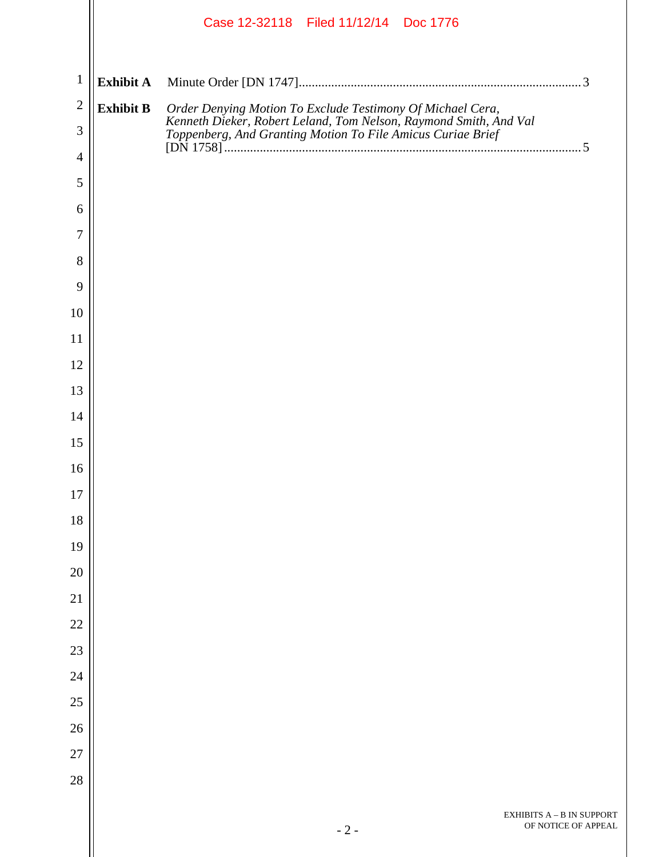|                |                  | Case 12-32118 Filed 11/12/14 Doc 1776                                                                                                                                                                       |
|----------------|------------------|-------------------------------------------------------------------------------------------------------------------------------------------------------------------------------------------------------------|
| $\mathbf{1}$   | <b>Exhibit A</b> |                                                                                                                                                                                                             |
| $\overline{2}$ | <b>Exhibit B</b> |                                                                                                                                                                                                             |
| 3              |                  | Order Denying Motion To Exclude Testimony Of Michael Cera,<br>Kenneth Dieker, Robert Leland, Tom Nelson, Raymond Smith, And Val<br>Toppenberg, And Granting Motion To File Amicus Curiae Brief<br>[DN 1758] |
| $\overline{4}$ |                  |                                                                                                                                                                                                             |
| 5              |                  |                                                                                                                                                                                                             |
| 6              |                  |                                                                                                                                                                                                             |
| 7              |                  |                                                                                                                                                                                                             |
| 8              |                  |                                                                                                                                                                                                             |
| 9              |                  |                                                                                                                                                                                                             |
| 10<br>11       |                  |                                                                                                                                                                                                             |
| 12             |                  |                                                                                                                                                                                                             |
| 13             |                  |                                                                                                                                                                                                             |
| 14             |                  |                                                                                                                                                                                                             |
| 15             |                  |                                                                                                                                                                                                             |
| 16             |                  |                                                                                                                                                                                                             |
| 17             |                  |                                                                                                                                                                                                             |
| 18             |                  |                                                                                                                                                                                                             |
| 19             |                  |                                                                                                                                                                                                             |
| 20             |                  |                                                                                                                                                                                                             |
| 21             |                  |                                                                                                                                                                                                             |
| 22             |                  |                                                                                                                                                                                                             |
| 23             |                  |                                                                                                                                                                                                             |
| 24             |                  |                                                                                                                                                                                                             |
| 25             |                  |                                                                                                                                                                                                             |
| 26             |                  |                                                                                                                                                                                                             |
| 27             |                  |                                                                                                                                                                                                             |
| 28             |                  |                                                                                                                                                                                                             |
|                |                  | EXHIBITS A - B IN SUPPORT                                                                                                                                                                                   |
|                |                  | OF NOTICE OF APPEAL<br>$-2-$                                                                                                                                                                                |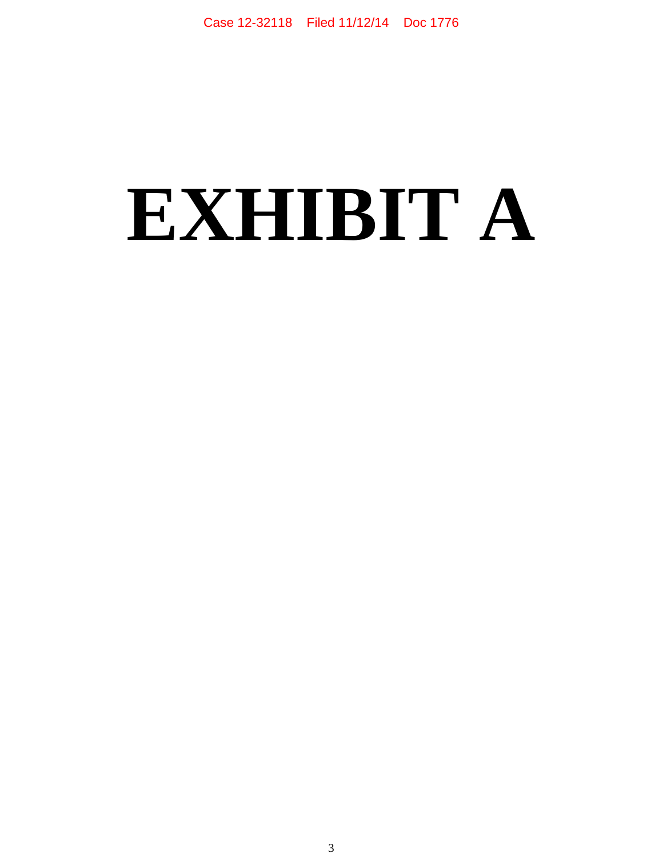## **EXHIBIT A**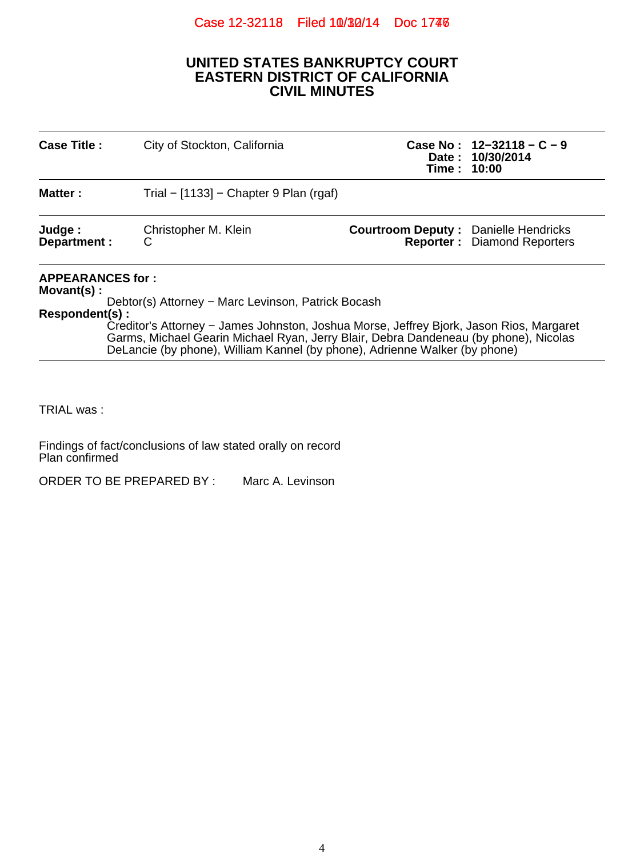## Case 12-32118 Filed 10/30/14 Doc 1746

## **UNITED STATES BANKRUPTCY COURT EASTERN DISTRICT OF CALIFORNIA CIVIL MINUTES**

| <b>Case Title:</b>                                                                                                                                                                                                                                                                                  | City of Stockton, California                                               | Case No: $12-32118 - C - 9$<br>Date: 10/30/2014<br>Time: 10:00                    |  |  |  |
|-----------------------------------------------------------------------------------------------------------------------------------------------------------------------------------------------------------------------------------------------------------------------------------------------------|----------------------------------------------------------------------------|-----------------------------------------------------------------------------------|--|--|--|
| <b>Matter:</b>                                                                                                                                                                                                                                                                                      | Trial – $[1133]$ – Chapter 9 Plan (rgaf)                                   |                                                                                   |  |  |  |
| Judge:<br>Department :                                                                                                                                                                                                                                                                              | Christopher M. Klein<br>С                                                  | <b>Courtroom Deputy: Danielle Hendricks</b><br><b>Reporter:</b> Diamond Reporters |  |  |  |
| <b>APPEARANCES for:</b><br>$Movant(s)$ :<br>Debtor(s) Attorney – Marc Levinson, Patrick Bocash<br>Respondent(s):<br>Creditor's Attorney – James Johnston, Joshua Morse, Jeffrey Bjork, Jason Rios, Margaret<br>Garms, Michael Gearin Michael Ryan, Jerry Blair, Debra Dandeneau (by phone), Nicolas |                                                                            |                                                                                   |  |  |  |
|                                                                                                                                                                                                                                                                                                     | DeLancie (by phone), William Kannel (by phone), Adrienne Walker (by phone) |                                                                                   |  |  |  |

TRIAL was :

Findings of fact/conclusions of law stated orally on record Plan confirmed

ORDER TO BE PREPARED BY : Marc A. Levinson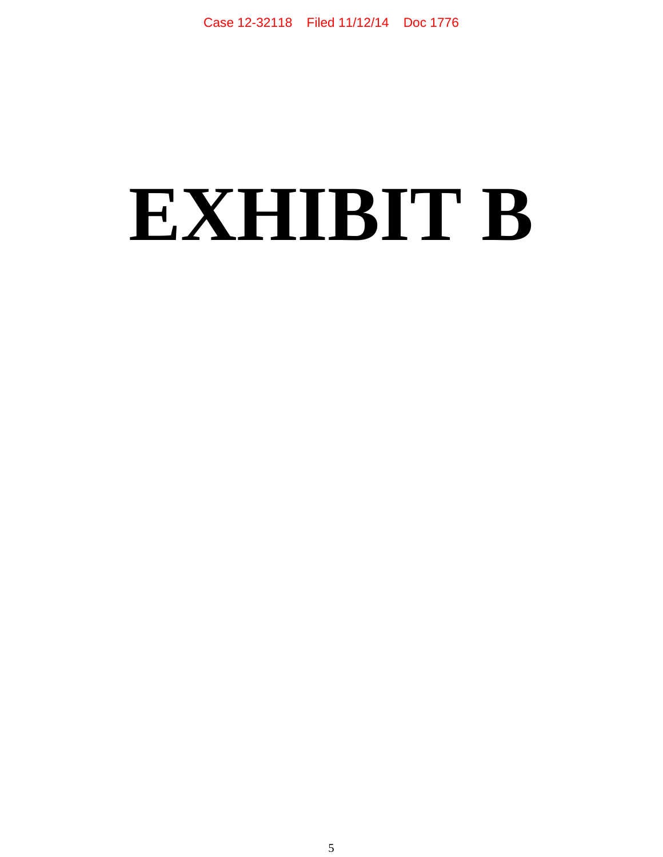## **EXHIBIT B**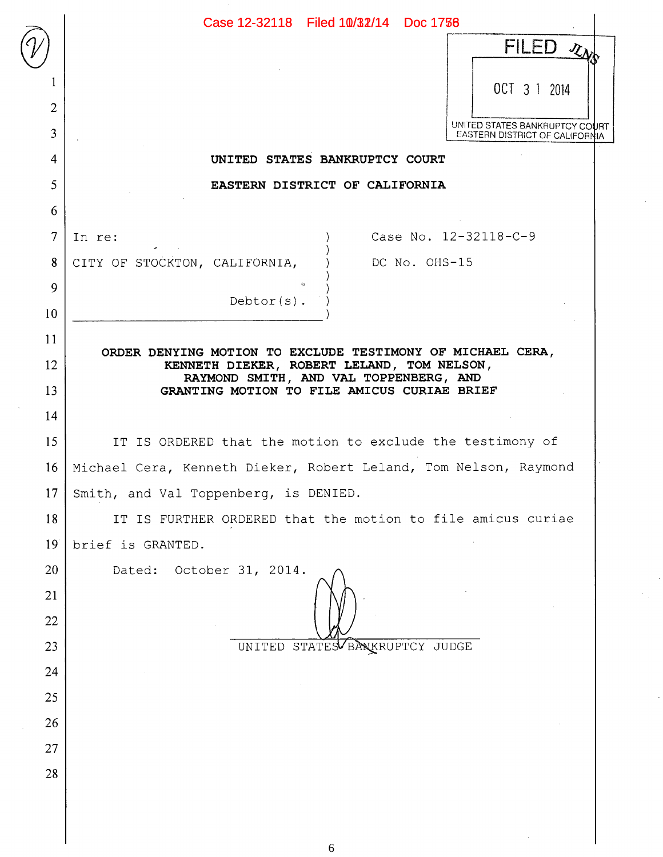|                 | Case 12-32118 Filed 10/32/14 Doc 1758                                                |
|-----------------|--------------------------------------------------------------------------------------|
|                 | FILED $\chi_{\lambda}$                                                               |
|                 | OCT 3 1 2014                                                                         |
| $\overline{2}$  |                                                                                      |
| 3               | UNITED STATES BANKRUPTCY COURT<br>EASTERN DISTRICT OF CALIFORNIA                     |
| 4               | UNITED STATES BANKRUPTCY COURT                                                       |
| 5               | EASTERN DISTRICT OF CALIFORNIA                                                       |
| 6               |                                                                                      |
| $\overline{7}$  | Case No. 12-32118-C-9<br>In re:                                                      |
| 8               | CITY OF STOCKTON, CALIFORNIA,<br>DC No. OHS-15                                       |
| 9               | Debtor $(s)$ .                                                                       |
| 10              |                                                                                      |
| 11              | ORDER DENYING MOTION TO EXCLUDE TESTIMONY OF MICHAEL CERA,                           |
| 12              | KENNETH DIEKER, ROBERT LELAND, TOM NELSON,<br>RAYMOND SMITH, AND VAL TOPPENBERG, AND |
| 13              | GRANTING MOTION TO FILE AMICUS CURIAE BRIEF                                          |
| 14              |                                                                                      |
| 15              | IT IS ORDERED that the motion to exclude the testimony of                            |
| 16              | Michael Cera, Kenneth Dieker, Robert Leland, Tom Nelson, Raymond                     |
| $17 \mid$       | Smith, and Val Toppenberg, is DENIED.                                                |
| 18              | IT IS FURTHER ORDERED that the motion to file amicus curiae                          |
| 19 <sup>°</sup> | brief is GRANTED.                                                                    |
| 20              | October 31, 2014.<br>Dated:                                                          |
| 21              |                                                                                      |
| 22              |                                                                                      |
| 23              | UNITED STATES BANKRUPTCY JUDGE                                                       |
| 24              |                                                                                      |
| 25<br>26        |                                                                                      |
| 27              |                                                                                      |
| 28              |                                                                                      |
|                 |                                                                                      |
|                 |                                                                                      |